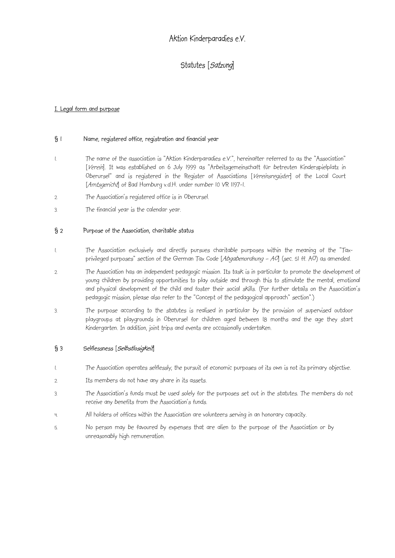# Aktion Kinderparadies e.V.

# Statutes [Satzung]

### I. Legal form and purpose

#### § 1 Name, registered office, registration and financial year

- 1. The name of the association is "Aktion Kinderparadies e.V.", hereinafter referred to as the "Association" [Verein]. It was established on 6 July 1999 as "Arbeitsgemeinschaft für betreuten Kinderspielplatz in Oberursel" and is registered in the Register of Associations [Vereinsregister] of the Local Court [Amtsgericht] of Bad Homburg v.d.H. under number 10 VR 1197-1.
- 2. The Association's registered office is in Oberursel.
- 3. The financial year is the calendar year.

#### § 2 Purpose of the Association, charitable status

- 1. The Association exclusively and directly pursues charitable purposes within the meaning of the "Taxprivileged purposes" section of the German Tax Code [Abgabenordnung - AO] (sec. 51 ff. AO) as amended.
- 2. The Association has an independent pedagogic mission. Its task is in particular to promote the development of young children by providing opportunities to play outside and through this to stimulate the mental, emotional and physical development of the child and foster their social skills. (For further details on the Association's pedagogic mission, please also refer to the "Concept of the pedagogical approach" section".)
- 3. The purpose according to the statutes is realised in particular by the provision of supervised outdoor playgroups at playgrounds in Oberursel for children aged between 18 months and the age they start kindergarten. In addition, joint trips and events are occasionally undertaken.

### § 3 Selflessness [*Selbstlosigkeit*]

- 1. The Association operates selflessly; the pursuit of economic purposes of its own is not its primary objective.
- 2. Its members do not have any share in its assets.
- 3. The Association's funds must be used solely for the purposes set out in the statutes. The members do not receive any benefits from the Association's funds.
- 4. All holders of offices within the Association are volunteers serving in an honorary capacity.
- 5. No person may be favoured by expenses that are alien to the purpose of the Association or by unreasonably high remuneration.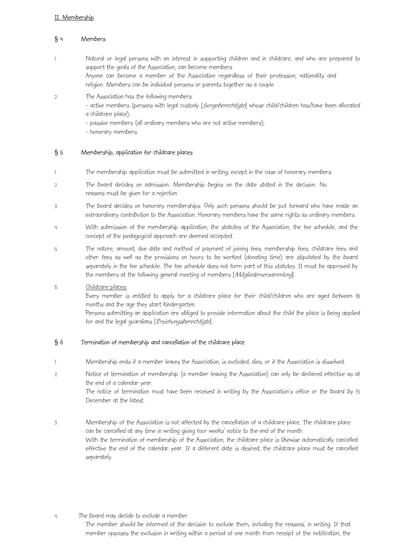### II. Membership

### § 4 Members

- 1. Natural or legal persons with an interest in supporting children and in childcare, and who are prepared to support the goals of the Association, can become members. Anyone can become a member of the Association regardless of their profession, nationality and religion. Members can be individual persons or parents together as a couple.
- 2. The Association has the following members:

- active members (persons with legal custody [Sorgeberechtigte] whose child/children has/have been allocated a childcare place);

- passive members (all ordinary members who are not active members);
- honorary members.

### § 5 Membership, application for childcare places

- 1. The membership application must be submitted in writing, except in the case of honorary members.
- 2. The board decides on admission. Membership begins on the date stated in the decision. No reasons must be given for a rejection.
- 3. The board decides on honorary memberships. Only such persons should be put forward who have made an extraordinary contribution to the Association. Honorary members have the same rights as ordinary members.
- 4. With submission of the membership application, the statutes of the Association, the fee schedule, and the concept of the pedagogical approach are deemed accepted.
- 5. The nature, amount, due date and method of payment of joining fees, membership fees, childcare fees and other fees as well as the provisions on hours to be worked (donating time) are stipulated by the board separately in the fee schedule. The fee schedule does not form part of this statutes. It must be approved by the members at the following general meeting of members [Mitgliederversammlung].

# 6. Childcare places:

Every member is entitled to apply for a childcare place for their child/children who are aged between 18 months and the age they start kindergarten.

Persons submitting an application are obliged to provide information about the child the place is being applied for and the legal quardians [Erziehungsberechtigte].

### § 6 Termination of membership and cancellation of the childcare place

- 1. Membership ends if a member leaves the Association, is excluded, dies, or if the Association is dissolved.
- 2. Notice of termination of membership (a member leaving the Association) can only be declared effective as at the end of a calendar year. The notice of termination must have been received in writing by the Association's office or the board by 15 December at the latest.
- 3. Membership of the Association is not affected by the cancellation of a childcare place. The childcare place can be cancelled at any time in writing giving four weeks' notice to the end of the month. With the termination of membership of the Association, the childcare place is likewise automatically cancelled effective the end of the calendar year. If a different date is desired, the childcare place must be cancelled separately.
- 4. The board may decide to exclude a member.

The member should be informed of the decision to exclude them, including the reasons, in writing. If that member opposes the exclusion in writing within a period of one month from receipt of the notification, the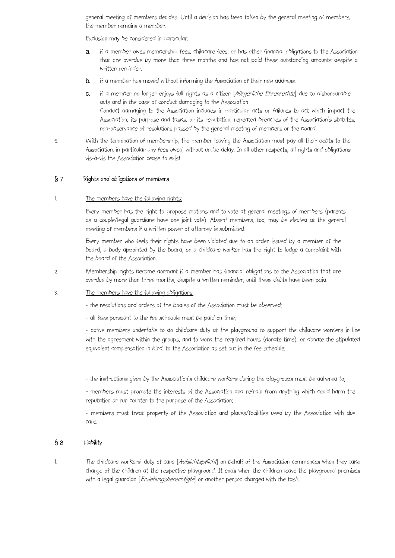general meeting of members decides. Until a decision has been taken by the general meeting of members, the member remains a member.

Exclusion may be considered in particular:

- a. if a member owes membership fees, childcare fees, or has other financial obligations to the Association that are overdue by more than three months and has not paid these outstanding amounts despite a written reminder,
- **b.** if a member has moved without informing the Association of their new address,
- c. if a member no longer enjoys full rights as a citizen [bürgerliche Ehrenrechte] due to dishonourable acts and in the case of conduct damaging to the Association. Conduct damaging to the Association includes in particular acts or failures to act which impact the Association, its purpose and tasks, or its reputation; repeated breaches of the Association's statutes; non-observance of resolutions passed by the general meeting of members or the board.
- 5. With the termination of membership, the member leaving the Association must pay all their debts to the Association, in particular any fees owed, without undue delay. In all other respects, all rights and obligations vis-à-vis the Association cease to exist.

### § 7 Rights and obligations of members

#### The members have the following rights:

Every member has the right to propose motions and to vote at general meetings of members (parents as a couple/legal guardians have one joint vote). Absent members, too, may be elected at the general meeting of members if a written power of attorney is submitted.

Every member who feels their rights have been violated due to an order issued by a member of the board, a body appointed by the board, or a childcare worker has the right to lodge a complaint with the board of the Association.

- 2. Membership rights become dormant if a member has financial obligations to the Association that are overdue by more than three months, despite a written reminder, until these debts have been paid.
- 3. The members have the following obligations:

- the resolutions and orders of the bodies of the Association must be observed;

- all fees pursuant to the fee schedule must be paid on time;

- active members undertake to do childcare duty at the playground to support the childcare workers in line with the agreement within the groups, and to work the required hours (donate time), or donate the stipulated equivalent compensation in kind, to the Association as set out in the fee schedule;

- the instructions given by the Association's childcare workers during the playgroups must be adhered to;

- members must promote the interests of the Association and refrain from anything which could harm the reputation or run counter to the purpose of the Association;

- members must treat property of the Association and places/facilities used by the Association with due care.

# § 8 Liability

1. The childcare workers' duty of care [Aufsichtspflicht] on behalf of the Association commences when they take charge of the children at the respective playground. It ends when the children leave the playground premises with a legal guardian [Erziehungsberechtigte] or another person charged with the task.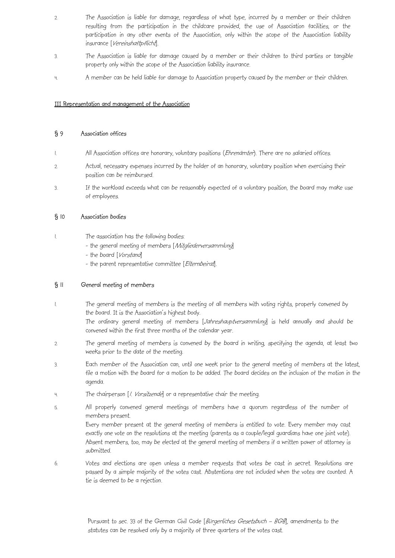- 2. The Association is liable for damage, regardless of what type, incurred by a member or their children resulting from the participation in the childcare provided, the use of Association facilities, or the participation in any other events of the Association, only within the scope of the Association liability insurance [Vereinshaftpflicht].
- 3. The Association is liable for damage caused by a member or their children to third parties or tangible property only within the scope of the Association liability insurance.
- 4. A member can be held liable for damage to Association property caused by the member or their children.

#### III Representation and management of the Association

#### § 9 Association offices

- 1. All Association offices are honorary, voluntary positions (*Ehrenämter*). There are no salaried offices.
- 2. Actual, necessary expenses incurred by the holder of an honorary, voluntary position when exercising their position can be reimbursed.
- 3. If the workload exceeds what can be reasonably expected of a voluntary position, the board may make use of employees.

### § 10 Association bodies

- 1. The association has the following bodies:
	- the general meeting of members [Mitgliederversammlung]
	- the board [Vorstand]
	- the parent representative committee [Elternbeirat].

### § 11 General meeting of members

1. The general meeting of members is the meeting of all members with voting rights, properly convened by the board. It is the Association's highest body.

The ordinary general meeting of members [Jahreshauptversammlung] is held annually and should be convened within the first three months of the calendar year.

- 2. The general meeting of members is convened by the board in writing, specifying the agenda, at least two weeks prior to the date of the meeting.
- 3. Each member of the Association can, until one week prior to the general meeting of members at the latest, file a motion with the board for a motion to be added. The board decides on the inclusion of the motion in the agenda.
- 4. The chairperson [1. Vorsitzende] or a representative chair the meeting.
- 5. All properly convened general meetings of members have a quorum regardless of the number of members present.

Every member present at the general meeting of members is entitled to vote. Every member may cast exactly one vote on the resolutions at the meeting (parents as a couple/legal guardians have one joint vote). Absent members, too, may be elected at the general meeting of members if a written power of attorney is submitted.

6. Votes and elections are open unless a member requests that votes be cast in secret. Resolutions are passed by a simple majority of the votes cast. Abstentions are not included when the votes are counted. A tie is deemed to be a rejection.

> Pursuant to sec. 33 of the German Civil Code [Bürgerliches Gesetzbuch - BGB], amendments to the statutes can be resolved only by a majority of three quarters of the votes cast.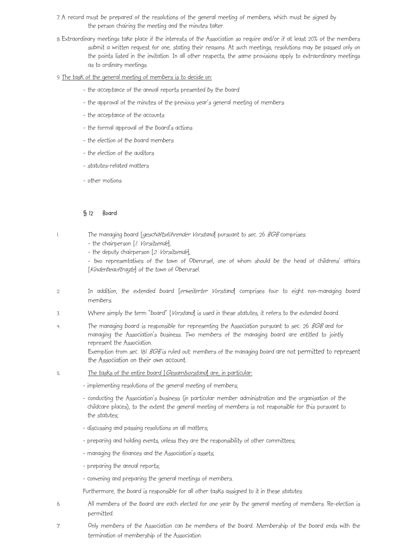- 7. A record must be prepared of the resolutions of the general meeting of members, which must be signed by the person chairing the meeting and the minutes taker.
- 8. Extraordinary meetings take place if the interests of the Association so require and/or if at least 20% of the members submit a written request for one, stating their reasons. At such meetings, resolutions may be passed only on the points listed in the invitation. In all other respects, the same provisions apply to extraordinary meetings as to ordinary meetings.
- 9. The task of the general meeting of members is to decide on:
	- the acceptance of the annual reports presented by the board
	- the approval of the minutes of the previous year's general meeting of members
	- the acceptance of the accounts
	- the formal approval of the board's actions
	- the election of the board members
	- the election of the auditors
	- statutes-related matters
	- other motions

### § 12 Board

- 1. The managing board [geschäftsführender Vorstand] pursuant to sec. 26 BGB comprises:
	- the chairperson [1. Vorsitzende],
	- the deputy chairperson [2. Vorsitzende],

- two representatives of the town of Oberursel, one of whom should be the head of childrens' affairs [Kinderbeauftragte] of the town of Oberursel.

- 2. In addition, the extended board [erweiterter Vorstand] comprises four to eight non-managing board members.
- 3. Where simply the term "board" [Vorstand] is used in these statutes, it refers to the extended board.
- 4. The managing board is responsible for representing the Association pursuant to sec. 26 BGB and for managing the Association's business. Two members of the managing board are entitled to jointly represent the Association. Exemption from sec. 181 BGB is ruled out: members of the managing board are not permitted to represent the Association on their own account.
- 5. The tasks of the entire board [Gesamtvorstand] are, in particular:
	- implementing resolutions of the general meeting of members;
	- conducting the Association's business (in particular member administration and the organisation of the childcare places), to the extent the general meeting of members is not responsible for this pursuant to the statutes;
	- discussing and passing resolutions on all matters;
	- preparing and holding events, unless they are the responsibility of other committees;
	- managing the finances and the Association's assets;
	- preparing the annual reports;
	- convening and preparing the general meetings of members.

Furthermore, the board is responsible for all other tasks assigned to it in these statutes.

- 6. All members of the board are each elected for one year by the general meeting of members. Re-election is permitted.
- 7. Only members of the Association can be members of the board. Membership of the board ends with the termination of membership of the Association.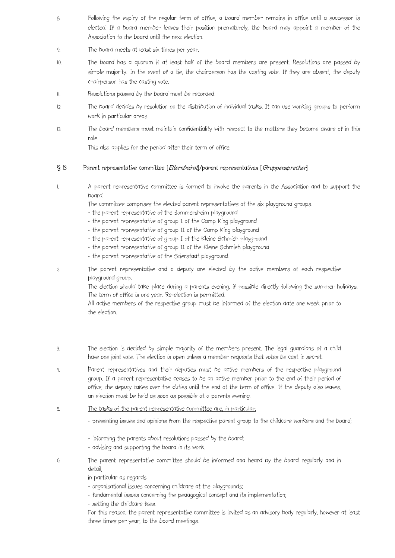- 8. Following the expiry of the regular term of office, a board member remains in office until a successor is elected. If a board member leaves their position prematurely, the board may appoint a member of the Association to the board until the next election.
- 9. The board meets at least six times per year.
- 10. The board has a quorum if at least half of the board members are present. Resolutions are passed by simple majority. In the event of a tie, the chairperson has the casting vote. If they are absent, the deputy chairperson has the casting vote.
- 11. Resolutions passed by the board must be recorded.
- 12. The board decides by resolution on the distribution of individual tasks. It can use working groups to perform work in particular areas.
- 13. The board members must maintain confidentiality with respect to the matters they become aware of in this role.

This also applies for the period after their term of office.

# § 13 Parent representative committee [Elternbeirat]/parent representatives [Gruppensprecher]

1. A parent representative committee is formed to involve the parents in the Association and to support the board.

The committee comprises the elected parent representatives of the six playground groups.

- the parent representative of the Bommersheim playground
- the parent representative of group I of the Camp King playground
- the parent representative of group II of the Camp King playground
- the parent representative of group I of the Kleine Schmieh playground
- the parent representative of group II of the Kleine Schmieh playground
- the parent representative of the Stierstadt playground.
- 2. The parent representative and a deputy are elected by the active members of each respective playground group.

The election should take place during a parents evening, if possible directly following the summer holidays. The term of office is one year. Re-election is permitted.

All active members of the respective group must be informed of the election date one week prior to the election.

- 3. The election is decided by simple majority of the members present. The legal guardians of a child have one joint vote. The election is open unless a member requests that votes be cast in secret.
- 4. Parent representatives and their deputies must be active members of the respective playground group. If a parent representative ceases to be an active member prior to the end of their period of office, the deputy takes over the duties until the end of the term of office. If the deputy also leaves, an election must be held as soon as possible at a parents evening.
- 5. The tasks of the parent representative committee are, in particular:
	- presenting issues and opinions from the respective parent group to the childcare workers and the board;
	- informing the parents about resolutions passed by the board;
	- advising and supporting the board in its work.
- 6. The parent representative committee should be informed and heard by the board regularly and in detail,
	- in particular as regards
	- organisational issues concerning childcare at the playgrounds;
	- fundamental issues concerning the pedagogical concept and its implementation;
	- setting the childcare fees.

For this reason, the parent representative committee is invited as an advisory body regularly, however at least three times per year, to the board meetings.